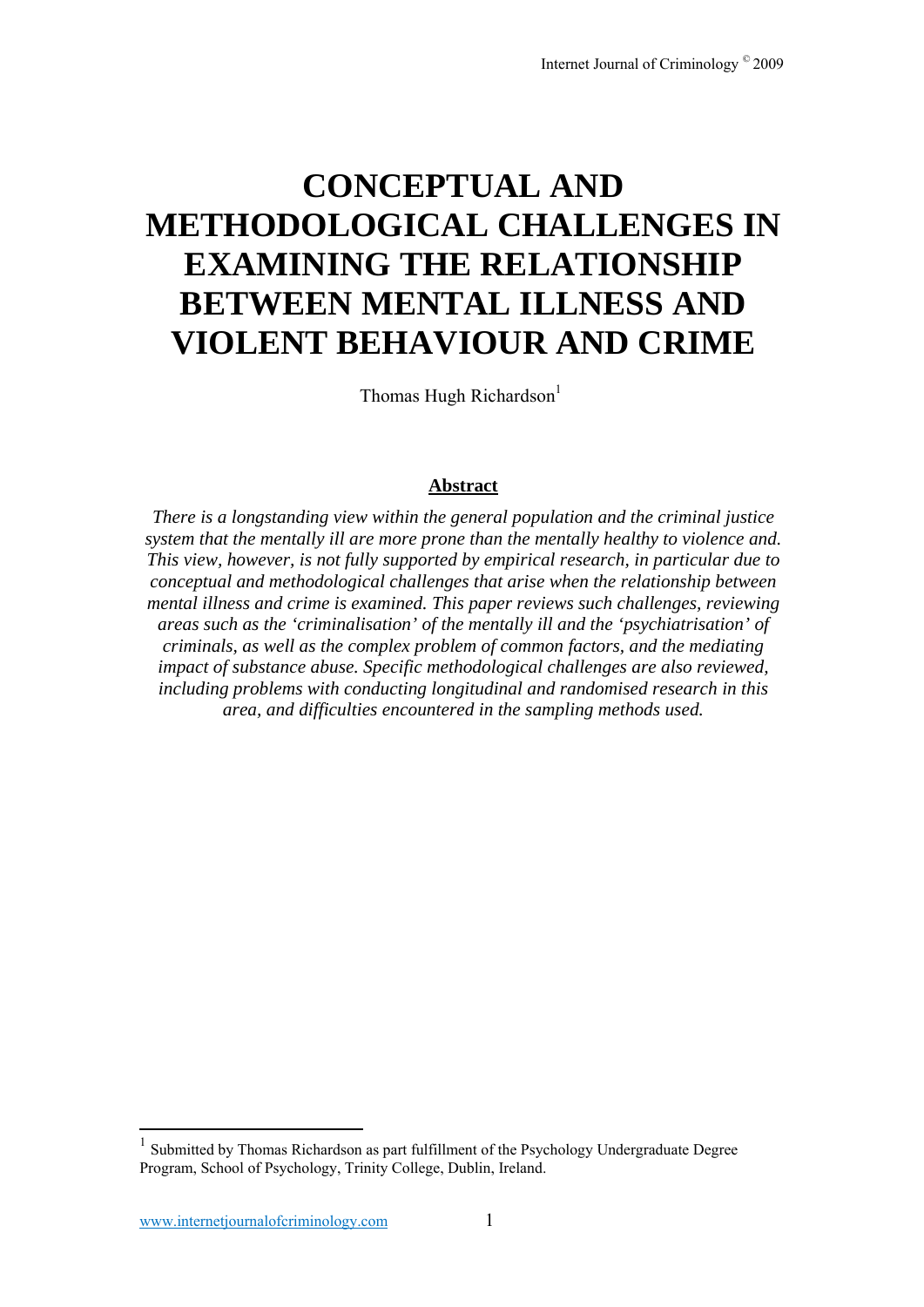# **CONCEPTUAL AND METHODOLOGICAL CHALLENGES IN EXAMINING THE RELATIONSHIP BETWEEN MENTAL ILLNESS AND VIOLENT BEHAVIOUR AND CRIME**

Thomas Hugh Richardson<sup>1</sup>

# **Abstract**

*There is a longstanding view within the general population and the criminal justice system that the mentally ill are more prone than the mentally healthy to violence and. This view, however, is not fully supported by empirical research, in particular due to conceptual and methodological challenges that arise when the relationship between mental illness and crime is examined. This paper reviews such challenges, reviewing areas such as the 'criminalisation' of the mentally ill and the 'psychiatrisation' of criminals, as well as the complex problem of common factors, and the mediating impact of substance abuse. Specific methodological challenges are also reviewed, including problems with conducting longitudinal and randomised research in this area, and difficulties encountered in the sampling methods used.* 

1

 $<sup>1</sup>$  Submitted by Thomas Richardson as part fulfillment of the Psychology Undergraduate Degree</sup> Program, School of Psychology, Trinity College, Dublin, Ireland.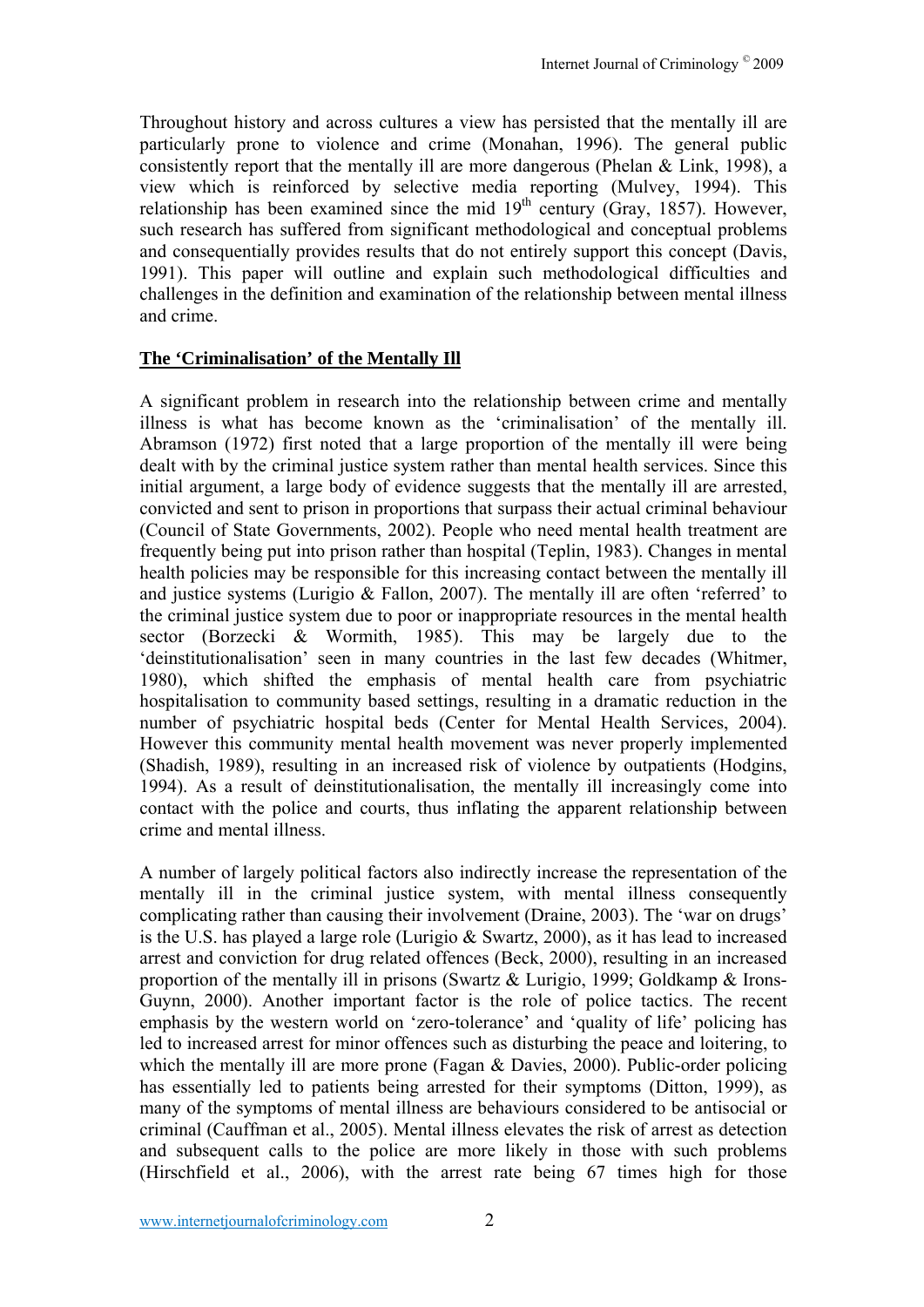Throughout history and across cultures a view has persisted that the mentally ill are particularly prone to violence and crime (Monahan, 1996). The general public consistently report that the mentally ill are more dangerous (Phelan & Link, 1998), a view which is reinforced by selective media reporting (Mulvey, 1994). This relationship has been examined since the mid  $19<sup>th</sup>$  century (Gray, 1857). However, such research has suffered from significant methodological and conceptual problems and consequentially provides results that do not entirely support this concept (Davis, 1991). This paper will outline and explain such methodological difficulties and challenges in the definition and examination of the relationship between mental illness and crime.

# **The 'Criminalisation' of the Mentally Ill**

A significant problem in research into the relationship between crime and mentally illness is what has become known as the 'criminalisation' of the mentally ill. Abramson (1972) first noted that a large proportion of the mentally ill were being dealt with by the criminal justice system rather than mental health services. Since this initial argument, a large body of evidence suggests that the mentally ill are arrested, convicted and sent to prison in proportions that surpass their actual criminal behaviour (Council of State Governments, 2002). People who need mental health treatment are frequently being put into prison rather than hospital (Teplin, 1983). Changes in mental health policies may be responsible for this increasing contact between the mentally ill and justice systems (Lurigio & Fallon, 2007). The mentally ill are often 'referred' to the criminal justice system due to poor or inappropriate resources in the mental health sector (Borzecki & Wormith, 1985). This may be largely due to the 'deinstitutionalisation' seen in many countries in the last few decades (Whitmer, 1980), which shifted the emphasis of mental health care from psychiatric hospitalisation to community based settings, resulting in a dramatic reduction in the number of psychiatric hospital beds (Center for Mental Health Services, 2004). However this community mental health movement was never properly implemented (Shadish, 1989), resulting in an increased risk of violence by outpatients (Hodgins, 1994). As a result of deinstitutionalisation, the mentally ill increasingly come into contact with the police and courts, thus inflating the apparent relationship between crime and mental illness.

A number of largely political factors also indirectly increase the representation of the mentally ill in the criminal justice system, with mental illness consequently complicating rather than causing their involvement (Draine, 2003). The 'war on drugs' is the U.S. has played a large role (Lurigio & Swartz, 2000), as it has lead to increased arrest and conviction for drug related offences (Beck, 2000), resulting in an increased proportion of the mentally ill in prisons (Swartz & Lurigio, 1999; Goldkamp & Irons-Guynn, 2000). Another important factor is the role of police tactics. The recent emphasis by the western world on 'zero-tolerance' and 'quality of life' policing has led to increased arrest for minor offences such as disturbing the peace and loitering, to which the mentally ill are more prone (Fagan & Davies, 2000). Public-order policing has essentially led to patients being arrested for their symptoms (Ditton, 1999), as many of the symptoms of mental illness are behaviours considered to be antisocial or criminal (Cauffman et al., 2005). Mental illness elevates the risk of arrest as detection and subsequent calls to the police are more likely in those with such problems (Hirschfield et al., 2006), with the arrest rate being 67 times high for those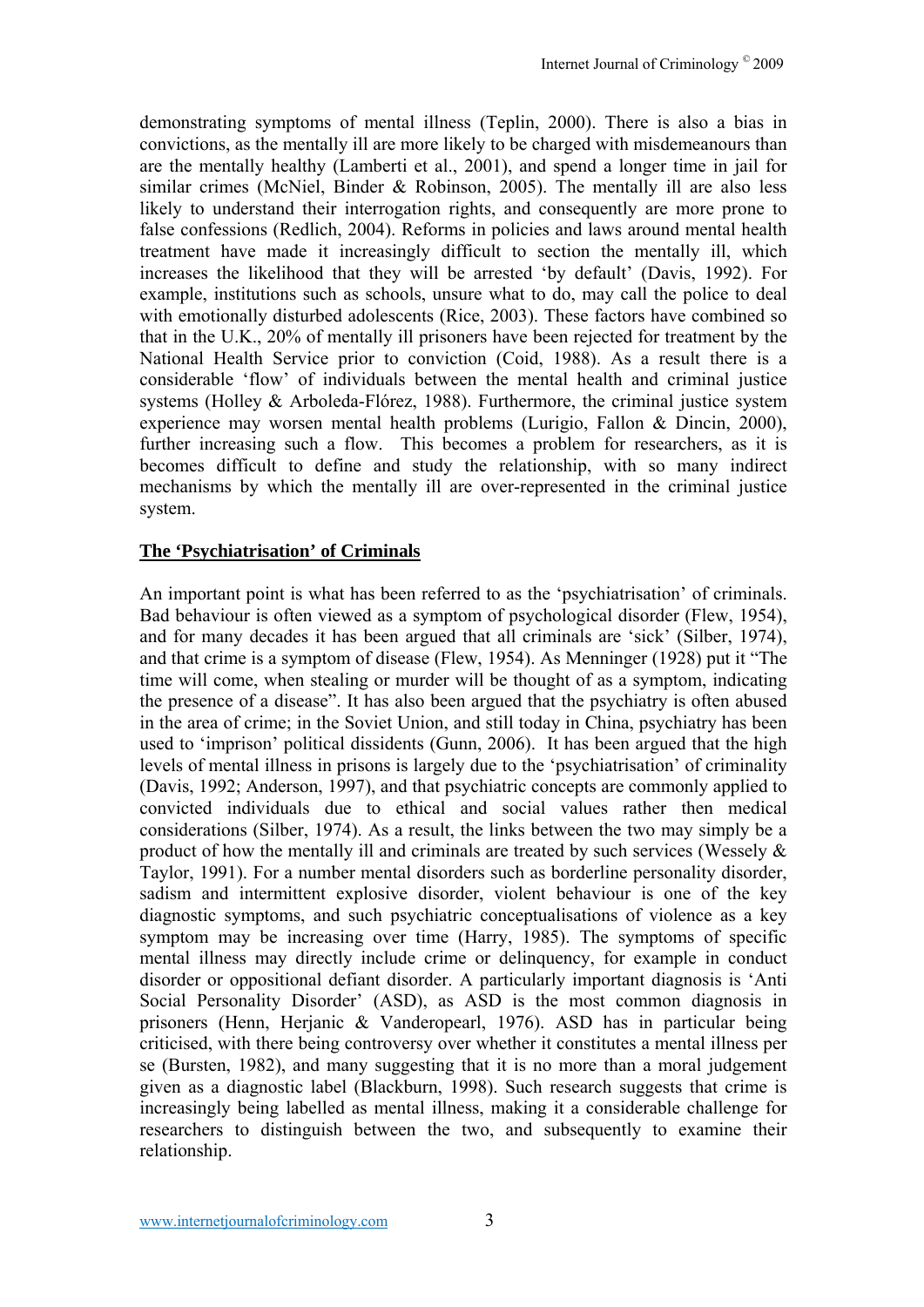demonstrating symptoms of mental illness (Teplin, 2000). There is also a bias in convictions, as the mentally ill are more likely to be charged with misdemeanours than are the mentally healthy (Lamberti et al., 2001), and spend a longer time in jail for similar crimes (McNiel, Binder & Robinson, 2005). The mentally ill are also less likely to understand their interrogation rights, and consequently are more prone to false confessions (Redlich, 2004). Reforms in policies and laws around mental health treatment have made it increasingly difficult to section the mentally ill, which increases the likelihood that they will be arrested 'by default' (Davis, 1992). For example, institutions such as schools, unsure what to do, may call the police to deal with emotionally disturbed adolescents (Rice, 2003). These factors have combined so that in the U.K., 20% of mentally ill prisoners have been rejected for treatment by the National Health Service prior to conviction (Coid, 1988). As a result there is a considerable 'flow' of individuals between the mental health and criminal justice systems (Holley & Arboleda-Flórez, 1988). Furthermore, the criminal justice system experience may worsen mental health problems (Lurigio, Fallon & Dincin, 2000), further increasing such a flow. This becomes a problem for researchers, as it is becomes difficult to define and study the relationship, with so many indirect mechanisms by which the mentally ill are over-represented in the criminal justice system.

## **The 'Psychiatrisation' of Criminals**

An important point is what has been referred to as the 'psychiatrisation' of criminals. Bad behaviour is often viewed as a symptom of psychological disorder (Flew, 1954), and for many decades it has been argued that all criminals are 'sick' (Silber, 1974), and that crime is a symptom of disease (Flew, 1954). As Menninger (1928) put it "The time will come, when stealing or murder will be thought of as a symptom, indicating the presence of a disease". It has also been argued that the psychiatry is often abused in the area of crime; in the Soviet Union, and still today in China, psychiatry has been used to 'imprison' political dissidents (Gunn, 2006). It has been argued that the high levels of mental illness in prisons is largely due to the 'psychiatrisation' of criminality (Davis, 1992; Anderson, 1997), and that psychiatric concepts are commonly applied to convicted individuals due to ethical and social values rather then medical considerations (Silber, 1974). As a result, the links between the two may simply be a product of how the mentally ill and criminals are treated by such services (Wessely & Taylor, 1991). For a number mental disorders such as borderline personality disorder, sadism and intermittent explosive disorder, violent behaviour is one of the key diagnostic symptoms, and such psychiatric conceptualisations of violence as a key symptom may be increasing over time (Harry, 1985). The symptoms of specific mental illness may directly include crime or delinquency, for example in conduct disorder or oppositional defiant disorder. A particularly important diagnosis is 'Anti Social Personality Disorder' (ASD), as ASD is the most common diagnosis in prisoners (Henn, Herjanic & Vanderopearl, 1976). ASD has in particular being criticised, with there being controversy over whether it constitutes a mental illness per se (Bursten, 1982), and many suggesting that it is no more than a moral judgement given as a diagnostic label (Blackburn, 1998). Such research suggests that crime is increasingly being labelled as mental illness, making it a considerable challenge for researchers to distinguish between the two, and subsequently to examine their relationship.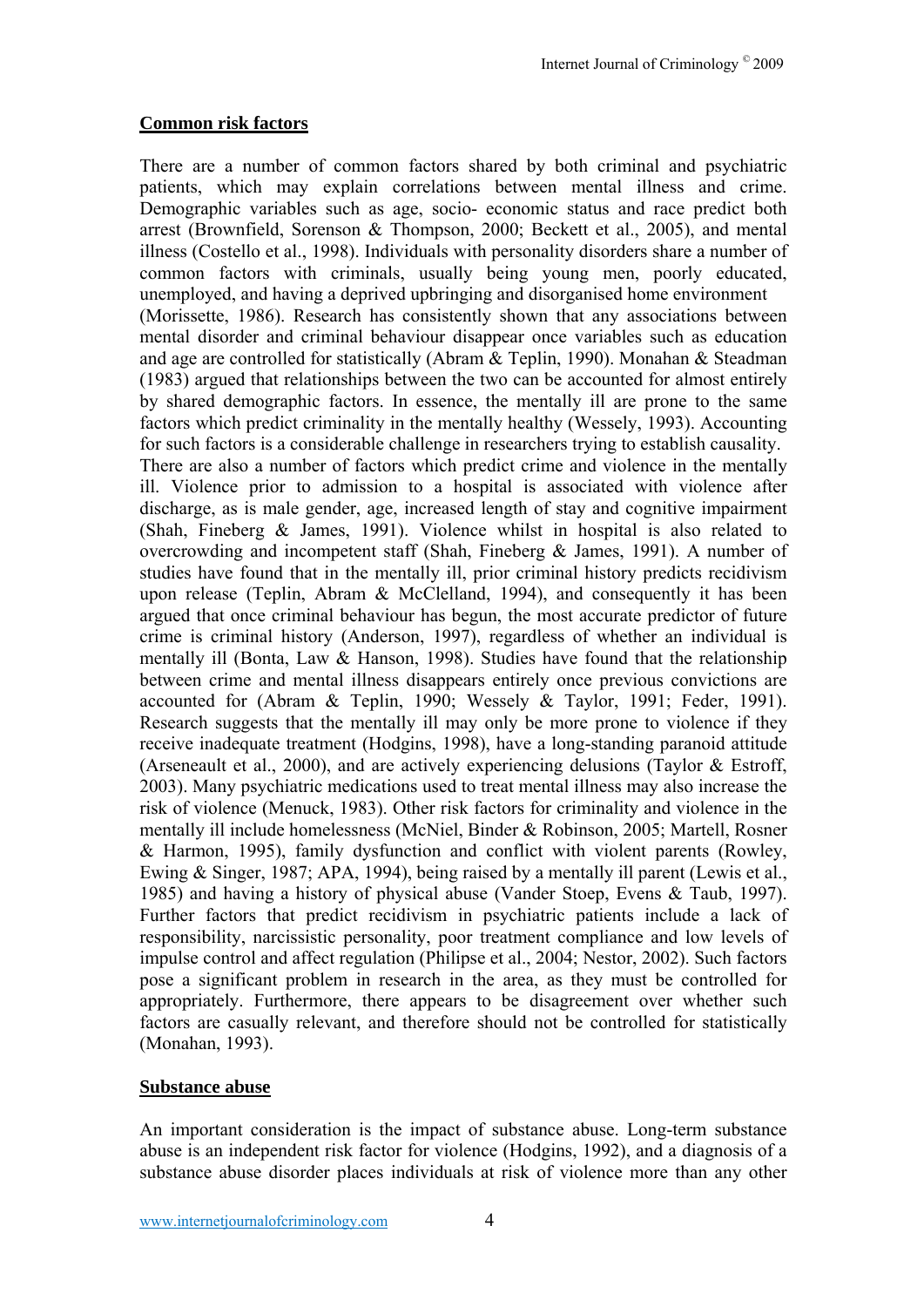#### **Common risk factors**

There are a number of common factors shared by both criminal and psychiatric patients, which may explain correlations between mental illness and crime. Demographic variables such as age, socio- economic status and race predict both arrest (Brownfield, Sorenson & Thompson, 2000; Beckett et al., 2005), and mental illness (Costello et al., 1998). Individuals with personality disorders share a number of common factors with criminals, usually being young men, poorly educated, unemployed, and having a deprived upbringing and disorganised home environment (Morissette, 1986). Research has consistently shown that any associations between mental disorder and criminal behaviour disappear once variables such as education and age are controlled for statistically (Abram & Teplin, 1990). Monahan & Steadman (1983) argued that relationships between the two can be accounted for almost entirely by shared demographic factors. In essence, the mentally ill are prone to the same factors which predict criminality in the mentally healthy (Wessely, 1993). Accounting for such factors is a considerable challenge in researchers trying to establish causality. There are also a number of factors which predict crime and violence in the mentally ill. Violence prior to admission to a hospital is associated with violence after discharge, as is male gender, age, increased length of stay and cognitive impairment (Shah, Fineberg & James, 1991). Violence whilst in hospital is also related to overcrowding and incompetent staff (Shah, Fineberg & James, 1991). A number of studies have found that in the mentally ill, prior criminal history predicts recidivism upon release (Teplin, Abram & McClelland, 1994), and consequently it has been argued that once criminal behaviour has begun, the most accurate predictor of future crime is criminal history (Anderson, 1997), regardless of whether an individual is mentally ill (Bonta, Law & Hanson, 1998). Studies have found that the relationship between crime and mental illness disappears entirely once previous convictions are accounted for (Abram & Teplin, 1990; Wessely & Taylor, 1991; Feder, 1991). Research suggests that the mentally ill may only be more prone to violence if they receive inadequate treatment (Hodgins, 1998), have a long-standing paranoid attitude (Arseneault et al., 2000), and are actively experiencing delusions (Taylor & Estroff, 2003). Many psychiatric medications used to treat mental illness may also increase the risk of violence (Menuck, 1983). Other risk factors for criminality and violence in the mentally ill include homelessness (McNiel, Binder & Robinson, 2005; Martell, Rosner & Harmon, 1995), family dysfunction and conflict with violent parents (Rowley, Ewing & Singer, 1987; APA, 1994), being raised by a mentally ill parent (Lewis et al., 1985) and having a history of physical abuse (Vander Stoep, Evens & Taub, 1997). Further factors that predict recidivism in psychiatric patients include a lack of responsibility, narcissistic personality, poor treatment compliance and low levels of impulse control and affect regulation (Philipse et al., 2004; Nestor, 2002). Such factors pose a significant problem in research in the area, as they must be controlled for appropriately. Furthermore, there appears to be disagreement over whether such factors are casually relevant, and therefore should not be controlled for statistically (Monahan, 1993).

#### **Substance abuse**

An important consideration is the impact of substance abuse. Long-term substance abuse is an independent risk factor for violence (Hodgins, 1992), and a diagnosis of a substance abuse disorder places individuals at risk of violence more than any other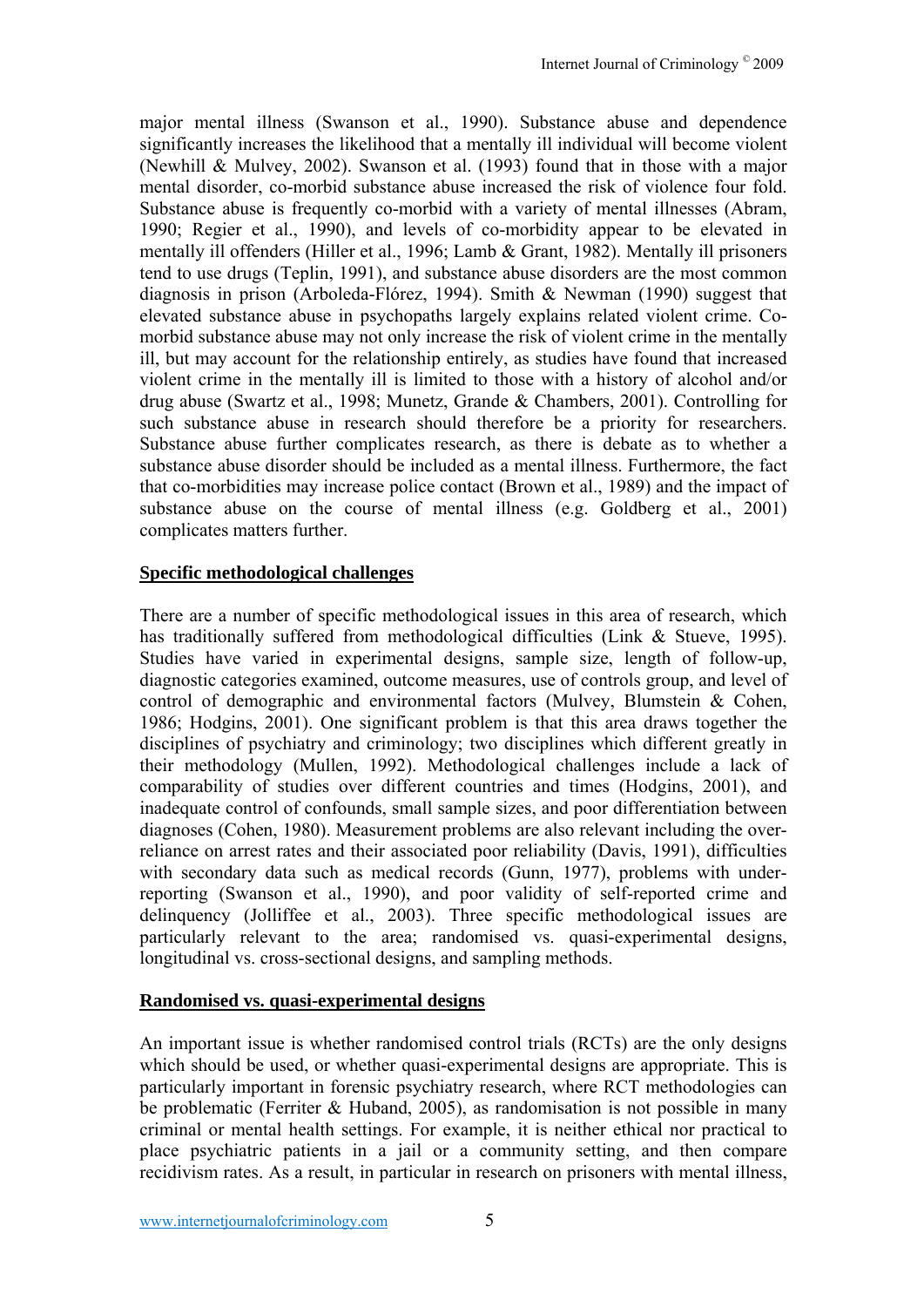major mental illness (Swanson et al., 1990). Substance abuse and dependence significantly increases the likelihood that a mentally ill individual will become violent (Newhill & Mulvey, 2002). Swanson et al. (1993) found that in those with a major mental disorder, co-morbid substance abuse increased the risk of violence four fold. Substance abuse is frequently co-morbid with a variety of mental illnesses (Abram, 1990; Regier et al., 1990), and levels of co-morbidity appear to be elevated in mentally ill offenders (Hiller et al., 1996; Lamb & Grant, 1982). Mentally ill prisoners tend to use drugs (Teplin, 1991), and substance abuse disorders are the most common diagnosis in prison (Arboleda-Flórez, 1994). Smith & Newman (1990) suggest that elevated substance abuse in psychopaths largely explains related violent crime. Comorbid substance abuse may not only increase the risk of violent crime in the mentally ill, but may account for the relationship entirely, as studies have found that increased violent crime in the mentally ill is limited to those with a history of alcohol and/or drug abuse (Swartz et al., 1998; Munetz, Grande & Chambers, 2001). Controlling for such substance abuse in research should therefore be a priority for researchers. Substance abuse further complicates research, as there is debate as to whether a substance abuse disorder should be included as a mental illness. Furthermore, the fact that co-morbidities may increase police contact (Brown et al., 1989) and the impact of substance abuse on the course of mental illness (e.g. Goldberg et al., 2001) complicates matters further.

## **Specific methodological challenges**

There are a number of specific methodological issues in this area of research, which has traditionally suffered from methodological difficulties (Link & Stueve, 1995). Studies have varied in experimental designs, sample size, length of follow-up, diagnostic categories examined, outcome measures, use of controls group, and level of control of demographic and environmental factors (Mulvey, Blumstein & Cohen, 1986; Hodgins, 2001). One significant problem is that this area draws together the disciplines of psychiatry and criminology; two disciplines which different greatly in their methodology (Mullen, 1992). Methodological challenges include a lack of comparability of studies over different countries and times (Hodgins, 2001), and inadequate control of confounds, small sample sizes, and poor differentiation between diagnoses (Cohen, 1980). Measurement problems are also relevant including the overreliance on arrest rates and their associated poor reliability (Davis, 1991), difficulties with secondary data such as medical records (Gunn, 1977), problems with underreporting (Swanson et al., 1990), and poor validity of self-reported crime and delinquency (Jolliffee et al., 2003). Three specific methodological issues are particularly relevant to the area; randomised vs. quasi-experimental designs, longitudinal vs. cross-sectional designs, and sampling methods.

## **Randomised vs. quasi-experimental designs**

An important issue is whether randomised control trials (RCTs) are the only designs which should be used, or whether quasi-experimental designs are appropriate. This is particularly important in forensic psychiatry research, where RCT methodologies can be problematic (Ferriter & Huband, 2005), as randomisation is not possible in many criminal or mental health settings. For example, it is neither ethical nor practical to place psychiatric patients in a jail or a community setting, and then compare recidivism rates. As a result, in particular in research on prisoners with mental illness,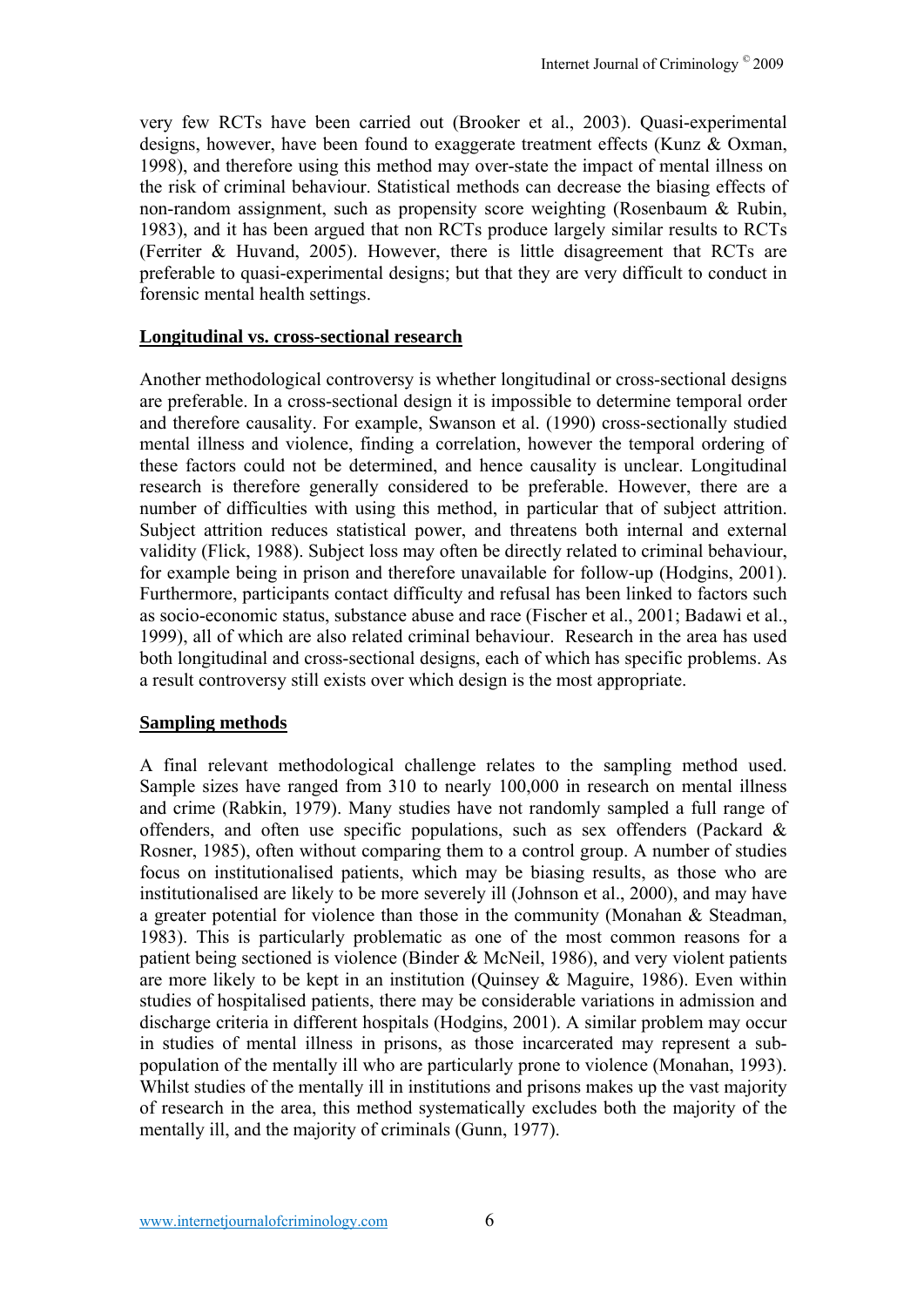very few RCTs have been carried out (Brooker et al., 2003). Quasi-experimental designs, however, have been found to exaggerate treatment effects (Kunz & Oxman, 1998), and therefore using this method may over-state the impact of mental illness on the risk of criminal behaviour. Statistical methods can decrease the biasing effects of non-random assignment, such as propensity score weighting (Rosenbaum & Rubin, 1983), and it has been argued that non RCTs produce largely similar results to RCTs (Ferriter & Huvand, 2005). However, there is little disagreement that RCTs are preferable to quasi-experimental designs; but that they are very difficult to conduct in forensic mental health settings.

#### **Longitudinal vs. cross-sectional research**

Another methodological controversy is whether longitudinal or cross-sectional designs are preferable. In a cross-sectional design it is impossible to determine temporal order and therefore causality. For example, Swanson et al. (1990) cross-sectionally studied mental illness and violence, finding a correlation, however the temporal ordering of these factors could not be determined, and hence causality is unclear. Longitudinal research is therefore generally considered to be preferable. However, there are a number of difficulties with using this method, in particular that of subject attrition. Subject attrition reduces statistical power, and threatens both internal and external validity (Flick, 1988). Subject loss may often be directly related to criminal behaviour, for example being in prison and therefore unavailable for follow-up (Hodgins, 2001). Furthermore, participants contact difficulty and refusal has been linked to factors such as socio-economic status, substance abuse and race (Fischer et al., 2001; Badawi et al., 1999), all of which are also related criminal behaviour. Research in the area has used both longitudinal and cross-sectional designs, each of which has specific problems. As a result controversy still exists over which design is the most appropriate.

#### **Sampling methods**

A final relevant methodological challenge relates to the sampling method used. Sample sizes have ranged from 310 to nearly 100,000 in research on mental illness and crime (Rabkin, 1979). Many studies have not randomly sampled a full range of offenders, and often use specific populations, such as sex offenders (Packard & Rosner, 1985), often without comparing them to a control group. A number of studies focus on institutionalised patients, which may be biasing results, as those who are institutionalised are likely to be more severely ill (Johnson et al., 2000), and may have a greater potential for violence than those in the community (Monahan & Steadman, 1983). This is particularly problematic as one of the most common reasons for a patient being sectioned is violence (Binder & McNeil, 1986), and very violent patients are more likely to be kept in an institution (Quinsey & Maguire, 1986). Even within studies of hospitalised patients, there may be considerable variations in admission and discharge criteria in different hospitals (Hodgins, 2001). A similar problem may occur in studies of mental illness in prisons, as those incarcerated may represent a subpopulation of the mentally ill who are particularly prone to violence (Monahan, 1993). Whilst studies of the mentally ill in institutions and prisons makes up the vast majority of research in the area, this method systematically excludes both the majority of the mentally ill, and the majority of criminals (Gunn, 1977).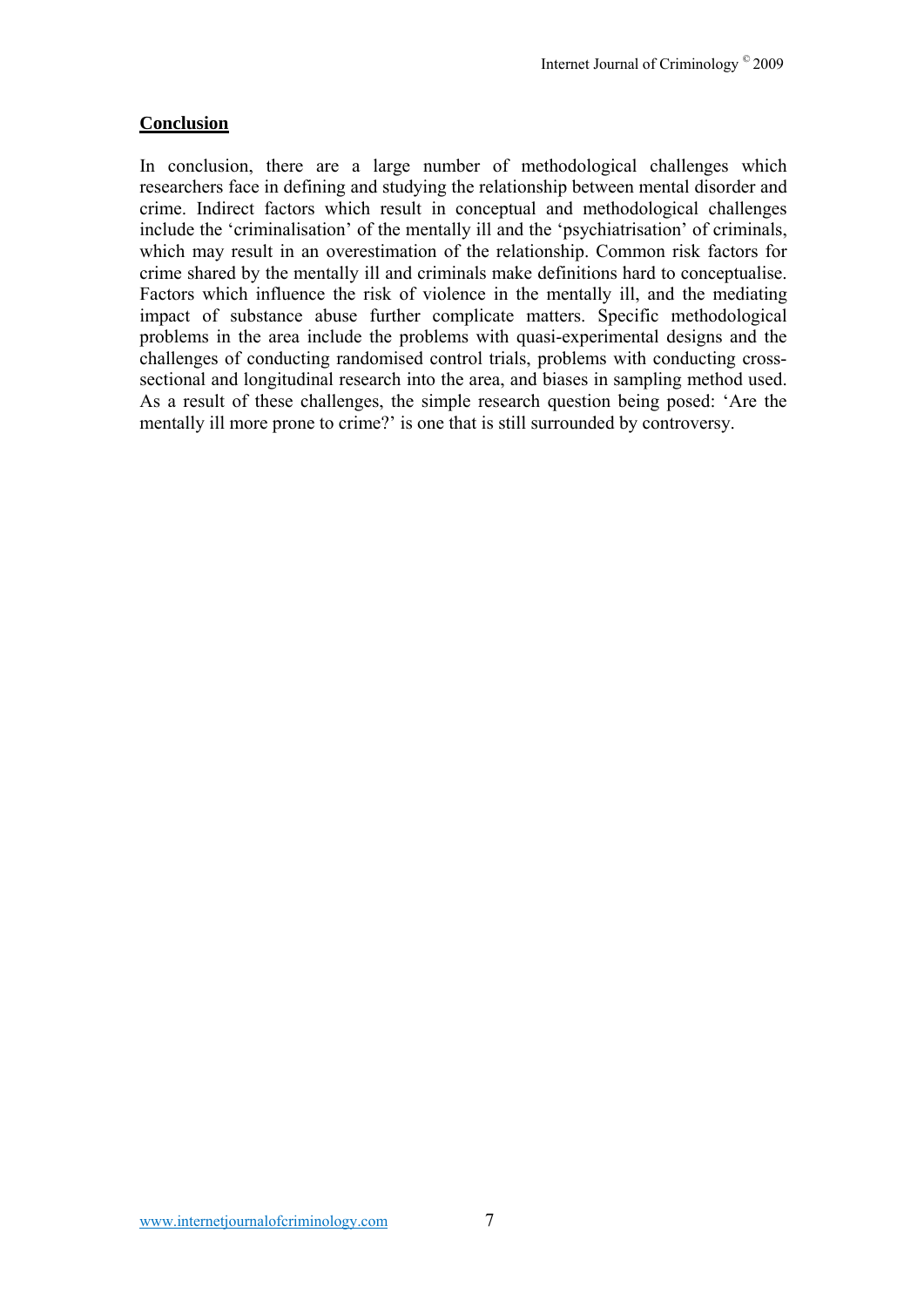# **Conclusion**

In conclusion, there are a large number of methodological challenges which researchers face in defining and studying the relationship between mental disorder and crime. Indirect factors which result in conceptual and methodological challenges include the 'criminalisation' of the mentally ill and the 'psychiatrisation' of criminals, which may result in an overestimation of the relationship. Common risk factors for crime shared by the mentally ill and criminals make definitions hard to conceptualise. Factors which influence the risk of violence in the mentally ill, and the mediating impact of substance abuse further complicate matters. Specific methodological problems in the area include the problems with quasi-experimental designs and the challenges of conducting randomised control trials, problems with conducting crosssectional and longitudinal research into the area, and biases in sampling method used. As a result of these challenges, the simple research question being posed: 'Are the mentally ill more prone to crime?' is one that is still surrounded by controversy.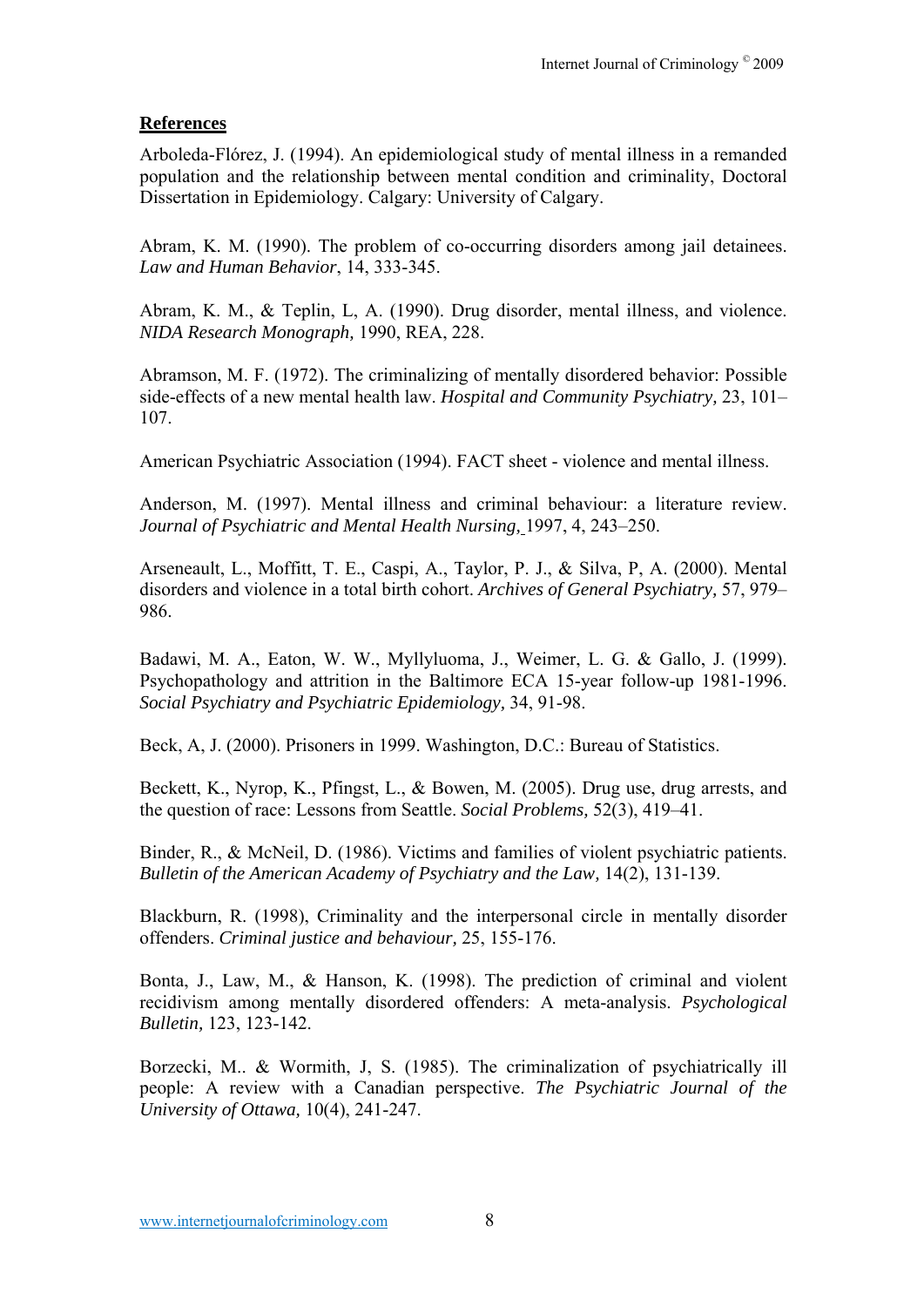# **References**

Arboleda-Flórez, J. (1994). An epidemiological study of mental illness in a remanded population and the relationship between mental condition and criminality, Doctoral Dissertation in Epidemiology. Calgary: University of Calgary.

Abram, K. M. (1990). The problem of co-occurring disorders among jail detainees. *Law and Human Behavior*, 14, 333-345.

Abram, K. M., & Teplin, L, A. (1990). Drug disorder, mental illness, and violence. *NIDA Research Monograph,* 1990, REA, 228.

Abramson, M. F. (1972). The criminalizing of mentally disordered behavior: Possible side-effects of a new mental health law. *Hospital and Community Psychiatry,* 23, 101– 107.

American Psychiatric Association (1994). FACT sheet - violence and mental illness.

Anderson, M. (1997). Mental illness and criminal behaviour: a literature review. *Journal of Psychiatric and Mental Health Nursing,* 1997, 4, 243–250.

Arseneault, L., Moffitt, T. E., Caspi, A., Taylor, P. J., & Silva, P, A. (2000). Mental disorders and violence in a total birth cohort. *Archives of General Psychiatry,* 57, 979– 986.

Badawi, M. A., Eaton, W. W., Myllyluoma, J., Weimer, L. G. & Gallo, J. (1999). Psychopathology and attrition in the Baltimore ECA 15-year follow-up 1981-1996. *Social Psychiatry and Psychiatric Epidemiology,* 34, 91-98.

Beck, A, J. (2000). Prisoners in 1999. Washington, D.C.: Bureau of Statistics.

Beckett, K., Nyrop, K., Pfingst, L., & Bowen, M. (2005). Drug use, drug arrests, and the question of race: Lessons from Seattle. *Social Problems,* 52(3), 419–41.

Binder, R., & McNeil, D. (1986). Victims and families of violent psychiatric patients. *Bulletin of the American Academy of Psychiatry and the Law,* 14(2), 131-139.

Blackburn, R. (1998), Criminality and the interpersonal circle in mentally disorder offenders. *Criminal justice and behaviour,* 25, 155-176.

Bonta, J., Law, M., & Hanson, K. (1998). The prediction of criminal and violent recidivism among mentally disordered offenders: A meta-analysis. *Psychological Bulletin,* 123, 123-142.

Borzecki, M.. & Wormith, J, S. (1985). The criminalization of psychiatrically ill people: A review with a Canadian perspective. *The Psychiatric Journal of the University of Ottawa,* 10(4), 241-247.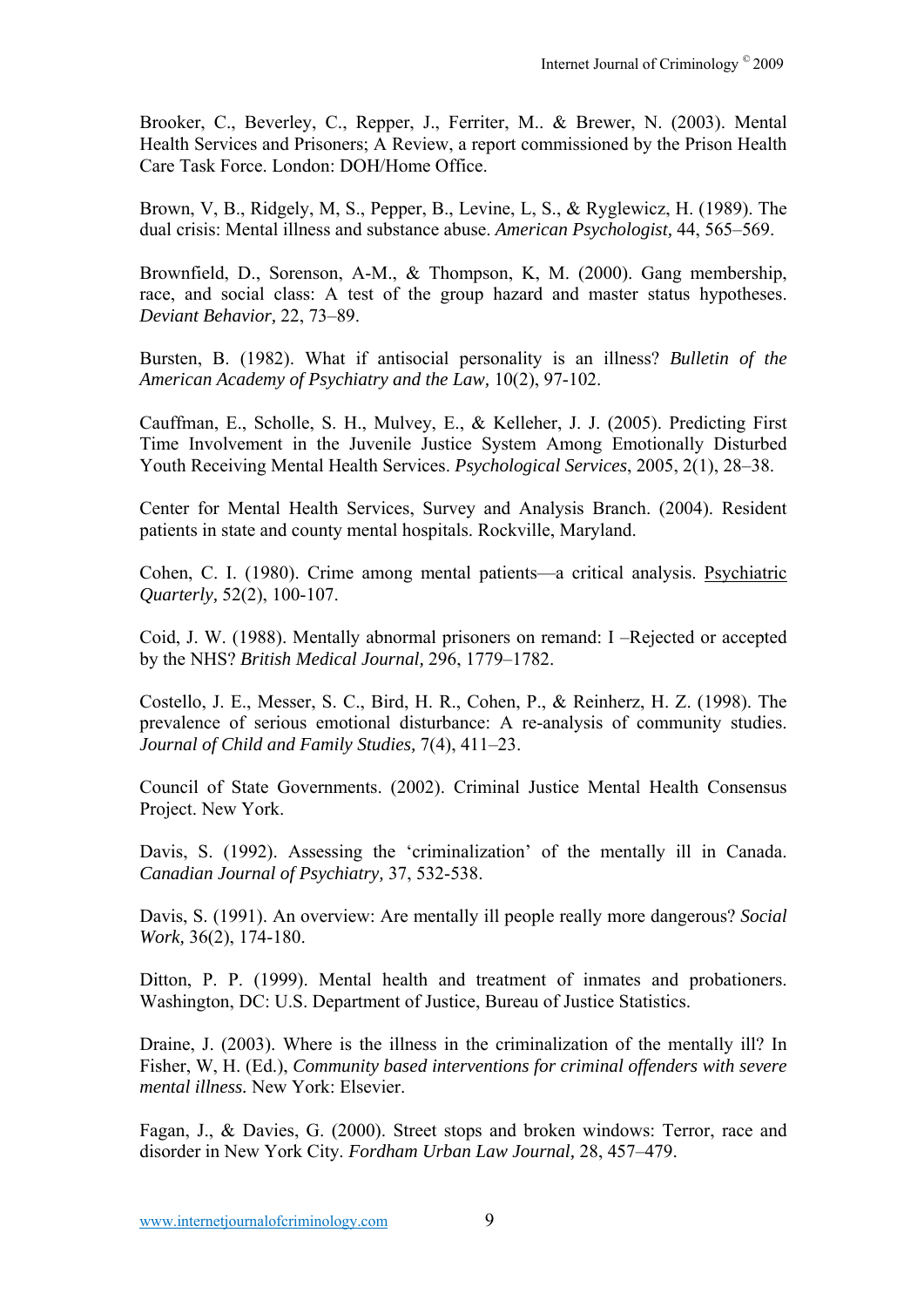Brooker, C., Beverley, C., Repper, J., Ferriter, M.. & Brewer, N. (2003). Mental Health Services and Prisoners; A Review, a report commissioned by the Prison Health Care Task Force. London: DOH/Home Office.

Brown, V, B., Ridgely, M, S., Pepper, B., Levine, L, S., & Ryglewicz, H. (1989). The dual crisis: Mental illness and substance abuse. *American Psychologist,* 44, 565–569.

Brownfield, D., Sorenson, A-M., & Thompson, K, M. (2000). Gang membership, race, and social class: A test of the group hazard and master status hypotheses. *Deviant Behavior,* 22, 73–89.

Bursten, B. (1982). What if antisocial personality is an illness? *Bulletin of the American Academy of Psychiatry and the Law,* 10(2), 97-102.

Cauffman, E., Scholle, S. H., Mulvey, E., & Kelleher, J. J. (2005). Predicting First Time Involvement in the Juvenile Justice System Among Emotionally Disturbed Youth Receiving Mental Health Services. *Psychological Services*, 2005, 2(1), 28–38.

Center for Mental Health Services, Survey and Analysis Branch. (2004). Resident patients in state and county mental hospitals. Rockville, Maryland.

Cohen, C. I. (1980). Crime among mental patients—a critical analysis. Psychiatric *Quarterly,* 52(2), 100-107.

Coid, J. W. (1988). Mentally abnormal prisoners on remand: I –Rejected or accepted by the NHS? *British Medical Journal,* 296, 1779–1782.

Costello, J. E., Messer, S. C., Bird, H. R., Cohen, P., & Reinherz, H. Z. (1998). The prevalence of serious emotional disturbance: A re-analysis of community studies. *Journal of Child and Family Studies,* 7(4), 411–23.

Council of State Governments. (2002). Criminal Justice Mental Health Consensus Project. New York.

Davis, S. (1992). Assessing the 'criminalization' of the mentally ill in Canada. *Canadian Journal of Psychiatry,* 37, 532-538.

Davis, S. (1991). An overview: Are mentally ill people really more dangerous? *Social Work,* 36(2), 174-180.

Ditton, P. P. (1999). Mental health and treatment of inmates and probationers. Washington, DC: U.S. Department of Justice, Bureau of Justice Statistics.

Draine, J. (2003). Where is the illness in the criminalization of the mentally ill? In Fisher, W, H. (Ed.), *Community based interventions for criminal offenders with severe mental illness.* New York: Elsevier.

Fagan, J., & Davies, G. (2000). Street stops and broken windows: Terror, race and disorder in New York City. *Fordham Urban Law Journal,* 28, 457–479.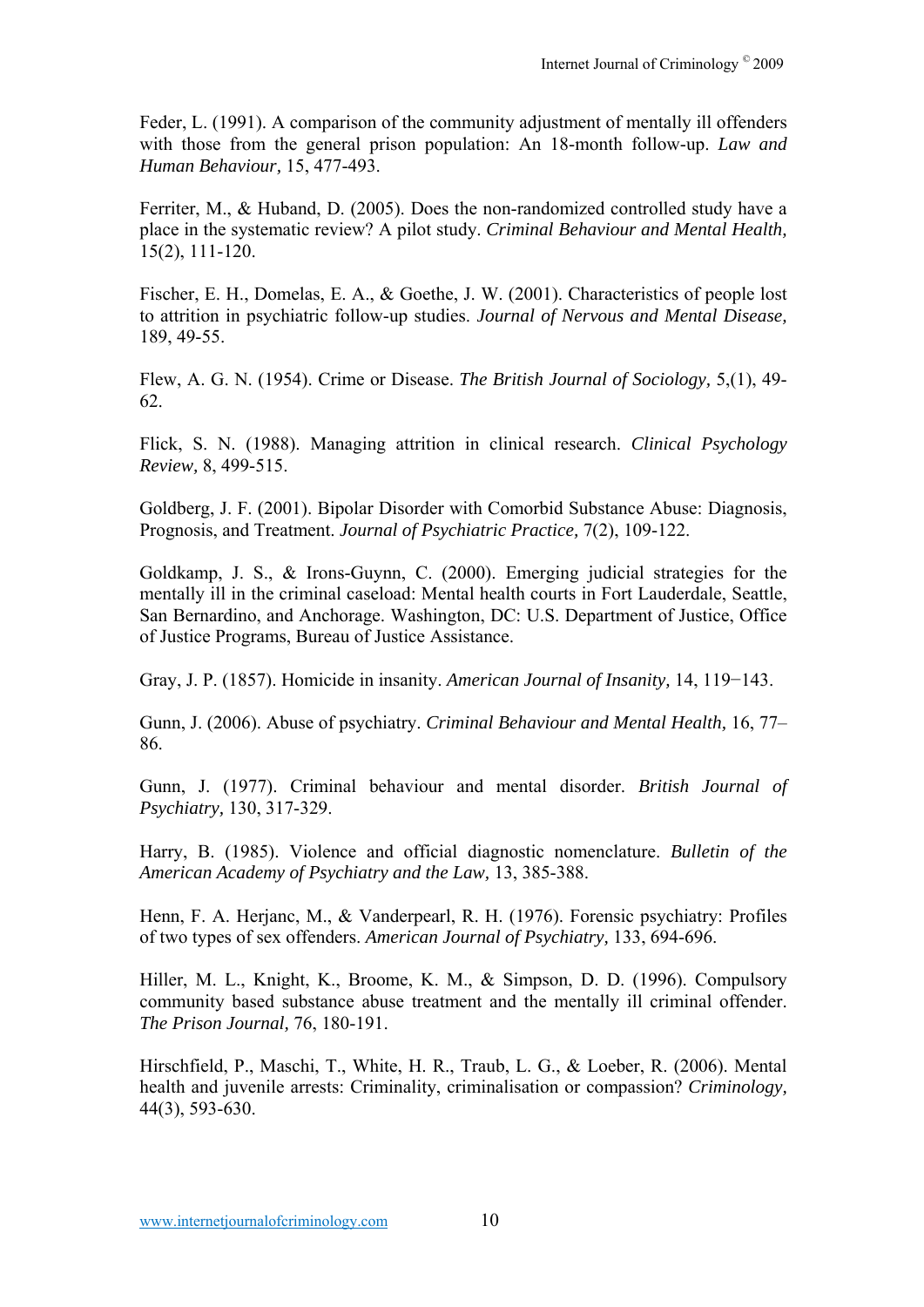Feder, L. (1991). A comparison of the community adjustment of mentally ill offenders with those from the general prison population: An 18-month follow-up. *Law and Human Behaviour,* 15, 477-493.

Ferriter, M., & Huband, D. (2005). Does the non-randomized controlled study have a place in the systematic review? A pilot study. *Criminal Behaviour and Mental Health,* 15(2), 111-120.

Fischer, E. H., Domelas, E. A., & Goethe, J. W. (2001). Characteristics of people lost to attrition in psychiatric follow-up studies. *Journal of Nervous and Mental Disease,* 189, 49-55.

Flew, A. G. N. (1954). Crime or Disease. *The British Journal of Sociology,* 5,(1), 49- 62.

Flick, S. N. (1988). Managing attrition in clinical research. *Clinical Psychology Review,* 8, 499-515.

Goldberg, J. F. (2001). Bipolar Disorder with Comorbid Substance Abuse: Diagnosis, Prognosis, and Treatment. *Journal of Psychiatric Practice,* 7(2), 109-122.

Goldkamp, J. S., & Irons-Guynn, C. (2000). Emerging judicial strategies for the mentally ill in the criminal caseload: Mental health courts in Fort Lauderdale, Seattle, San Bernardino, and Anchorage. Washington, DC: U.S. Department of Justice, Office of Justice Programs, Bureau of Justice Assistance.

Gray, J. P. (1857). Homicide in insanity. *American Journal of Insanity,* 14, 119−143.

Gunn, J. (2006). Abuse of psychiatry. *Criminal Behaviour and Mental Health,* 16, 77– 86.

Gunn, J. (1977). Criminal behaviour and mental disorder. *British Journal of Psychiatry,* 130, 317-329.

Harry, B. (1985). Violence and official diagnostic nomenclature. *Bulletin of the American Academy of Psychiatry and the Law,* 13, 385-388.

Henn, F. A. Herjanc, M., & Vanderpearl, R. H. (1976). Forensic psychiatry: Profiles of two types of sex offenders. *American Journal of Psychiatry,* 133, 694-696.

Hiller, M. L., Knight, K., Broome, K. M., & Simpson, D. D. (1996). Compulsory community based substance abuse treatment and the mentally ill criminal offender. *The Prison Journal,* 76, 180-191.

Hirschfield, P., Maschi, T., White, H. R., Traub, L. G., & Loeber, R. (2006). Mental health and juvenile arrests: Criminality, criminalisation or compassion? *Criminology,* 44(3), 593-630.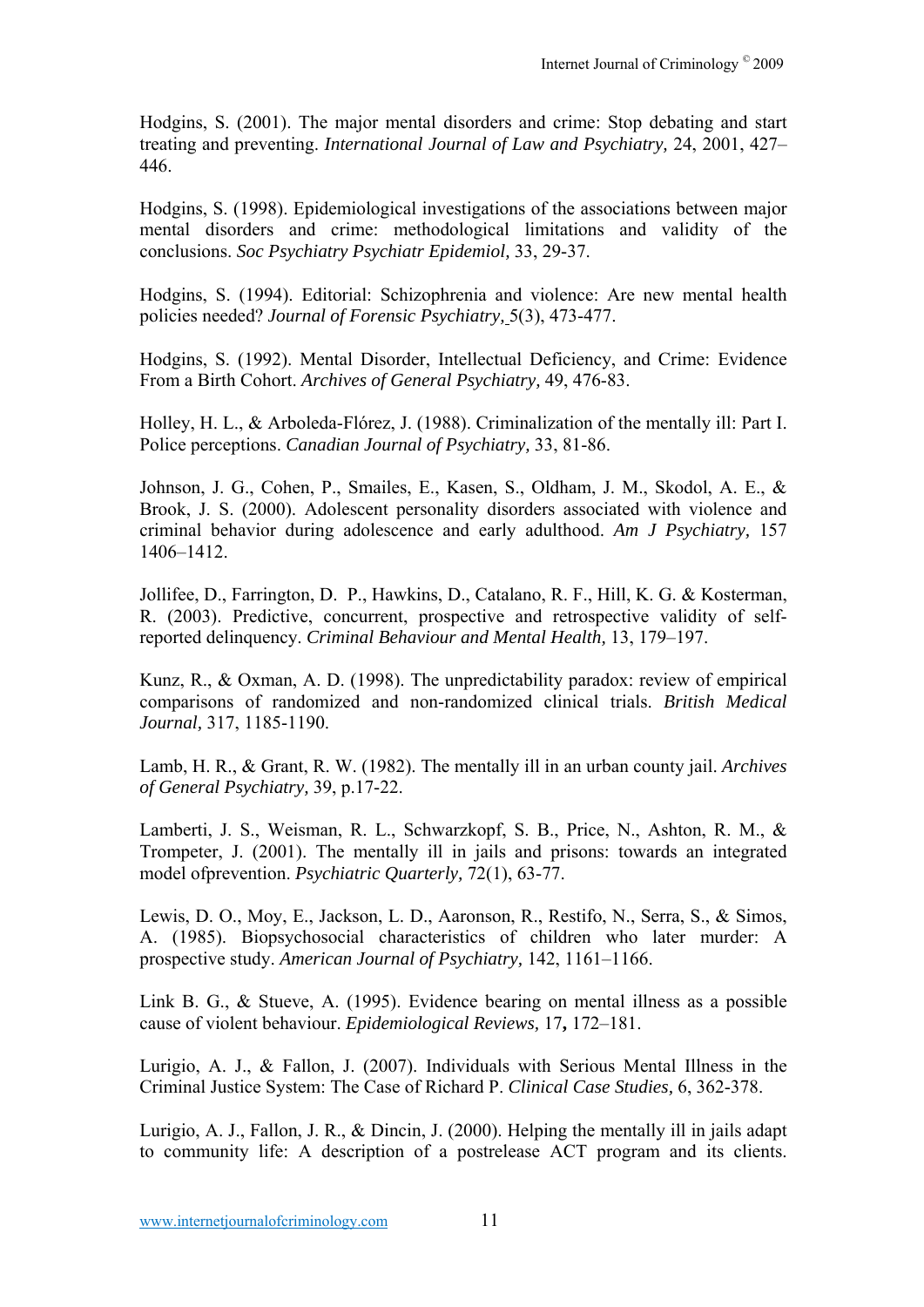Hodgins, S. (2001). The major mental disorders and crime: Stop debating and start treating and preventing. *International Journal of Law and Psychiatry,* 24, 2001, 427– 446.

Hodgins, S. (1998). Epidemiological investigations of the associations between major mental disorders and crime: methodological limitations and validity of the conclusions. *Soc Psychiatry Psychiatr Epidemiol,* 33, 29-37.

Hodgins, S. (1994). Editorial: Schizophrenia and violence: Are new mental health policies needed? *Journal of Forensic Psychiatry,* 5(3), 473-477.

Hodgins, S. (1992). Mental Disorder, Intellectual Deficiency, and Crime: Evidence From a Birth Cohort. *Archives of General Psychiatry,* 49, 476-83.

Holley, H. L., & Arboleda-Flórez, J. (1988). Criminalization of the mentally ill: Part I. Police perceptions. *Canadian Journal of Psychiatry,* 33, 81-86.

Johnson, J. G., Cohen, P., Smailes, E., Kasen, S., Oldham, J. M., Skodol, A. E., & Brook, J. S. (2000). Adolescent personality disorders associated with violence and criminal behavior during adolescence and early adulthood. *Am J Psychiatry,* 157 1406–1412.

Jollifee, D., Farrington, D. P., Hawkins, D., Catalano, R. F., Hill, K. G. & Kosterman, R. (2003). Predictive, concurrent, prospective and retrospective validity of selfreported delinquency. *Criminal Behaviour and Mental Health,* 13, 179–197.

Kunz, R., & Oxman, A. D. (1998). The unpredictability paradox: review of empirical comparisons of randomized and non-randomized clinical trials. *British Medical Journal,* 317, 1185-1190.

Lamb, H. R., & Grant, R. W. (1982). The mentally ill in an urban county jail. *Archives of General Psychiatry,* 39, p.17-22.

Lamberti, J. S., Weisman, R. L., Schwarzkopf, S. B., Price, N., Ashton, R. M., & Trompeter, J. (2001). The mentally ill in jails and prisons: towards an integrated model ofprevention. *Psychiatric Quarterly,* 72(1), 63-77.

Lewis, D. O., Moy, E., Jackson, L. D., Aaronson, R., Restifo, N., Serra, S., & Simos, A. (1985). Biopsychosocial characteristics of children who later murder: A prospective study. *American Journal of Psychiatry,* 142, 1161–1166.

Link B. G., & Stueve, A. (1995). Evidence bearing on mental illness as a possible cause of violent behaviour. *Epidemiological Reviews,* 17**,** 172–181.

Lurigio, A. J., & Fallon, J. (2007). Individuals with Serious Mental Illness in the Criminal Justice System: The Case of Richard P. *Clinical Case Studies,* 6, 362-378.

Lurigio, A. J., Fallon, J. R., & Dincin, J. (2000). Helping the mentally ill in jails adapt to community life: A description of a postrelease ACT program and its clients.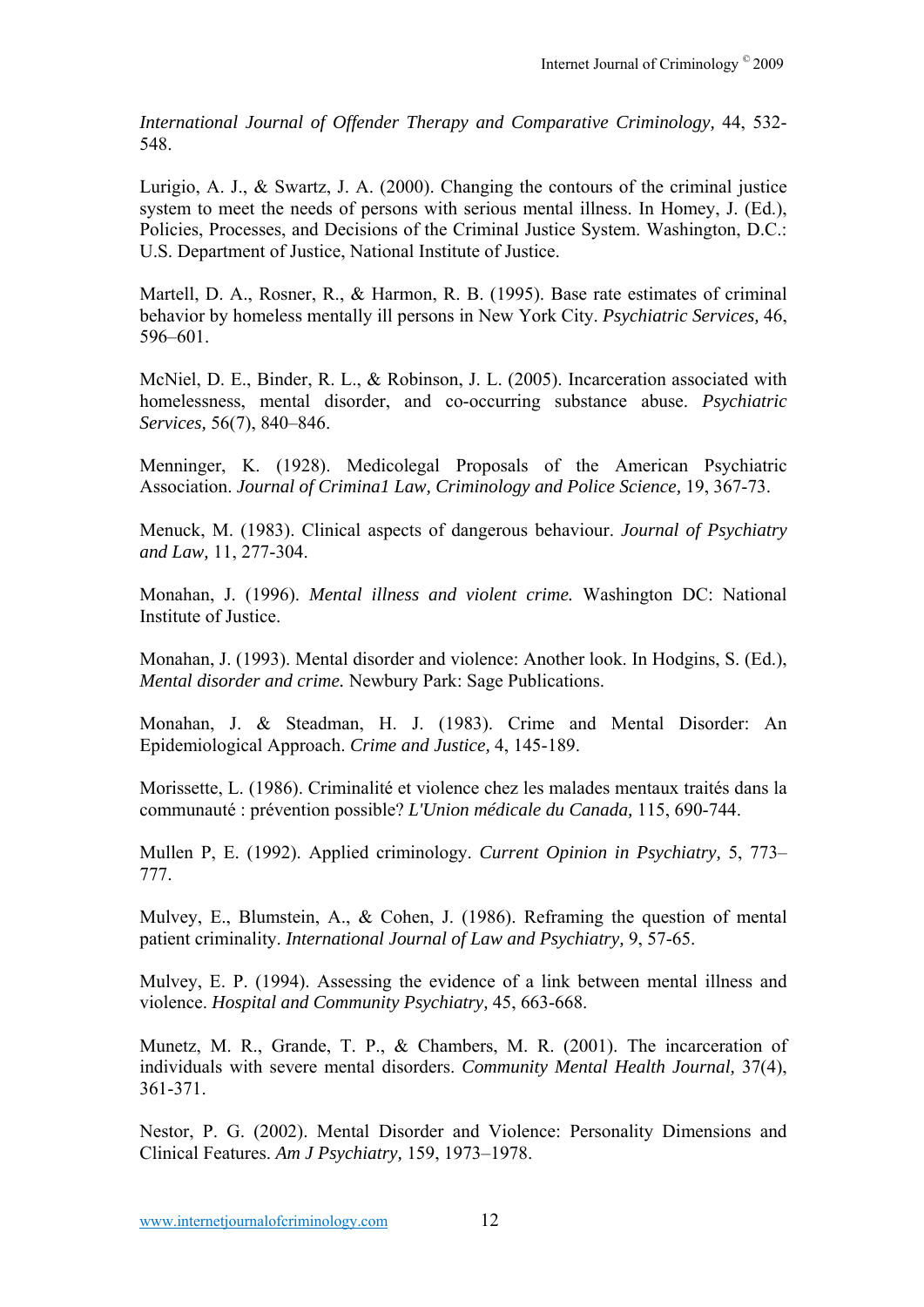*International Journal of Offender Therapy and Comparative Criminology,* 44, 532- 548.

Lurigio, A. J., & Swartz, J. A. (2000). Changing the contours of the criminal justice system to meet the needs of persons with serious mental illness. In Homey, J. (Ed.), Policies, Processes, and Decisions of the Criminal Justice System. Washington, D.C.: U.S. Department of Justice, National Institute of Justice.

Martell, D. A., Rosner, R., & Harmon, R. B. (1995). Base rate estimates of criminal behavior by homeless mentally ill persons in New York City. *Psychiatric Services,* 46, 596–601.

McNiel, D. E., Binder, R. L., & Robinson, J. L. (2005). Incarceration associated with homelessness, mental disorder, and co-occurring substance abuse. *Psychiatric Services,* 56(7), 840–846.

Menninger, K. (1928). Medicolegal Proposals of the American Psychiatric Association. *Journal of Crimina1 Law, Criminology and Police Science,* 19, 367-73.

Menuck, M. (1983). Clinical aspects of dangerous behaviour. *Journal of Psychiatry and Law,* 11, 277-304.

Monahan, J. (1996). *Mental illness and violent crime.* Washington DC: National Institute of Justice.

Monahan, J. (1993). Mental disorder and violence: Another look. In Hodgins, S. (Ed.), *Mental disorder and crime.* Newbury Park: Sage Publications.

Monahan, J. & Steadman, H. J. (1983). Crime and Mental Disorder: An Epidemiological Approach. *Crime and Justice,* 4, 145-189.

Morissette, L. (1986). Criminalité et violence chez les malades mentaux traités dans la communauté : prévention possible? *L'Union médicale du Canada,* 115, 690-744.

Mullen P, E. (1992). Applied criminology. *Current Opinion in Psychiatry,* 5, 773– 777.

Mulvey, E., Blumstein, A., & Cohen, J. (1986). Reframing the question of mental patient criminality. *International Journal of Law and Psychiatry,* 9, 57-65.

Mulvey, E. P. (1994). Assessing the evidence of a link between mental illness and violence. *Hospital and Community Psychiatry,* 45, 663-668.

Munetz, M. R., Grande, T. P., & Chambers, M. R. (2001). The incarceration of individuals with severe mental disorders. *Community Mental Health Journal,* 37(4), 361-371.

Nestor, P. G. (2002). Mental Disorder and Violence: Personality Dimensions and Clinical Features. *Am J Psychiatry,* 159, 1973–1978.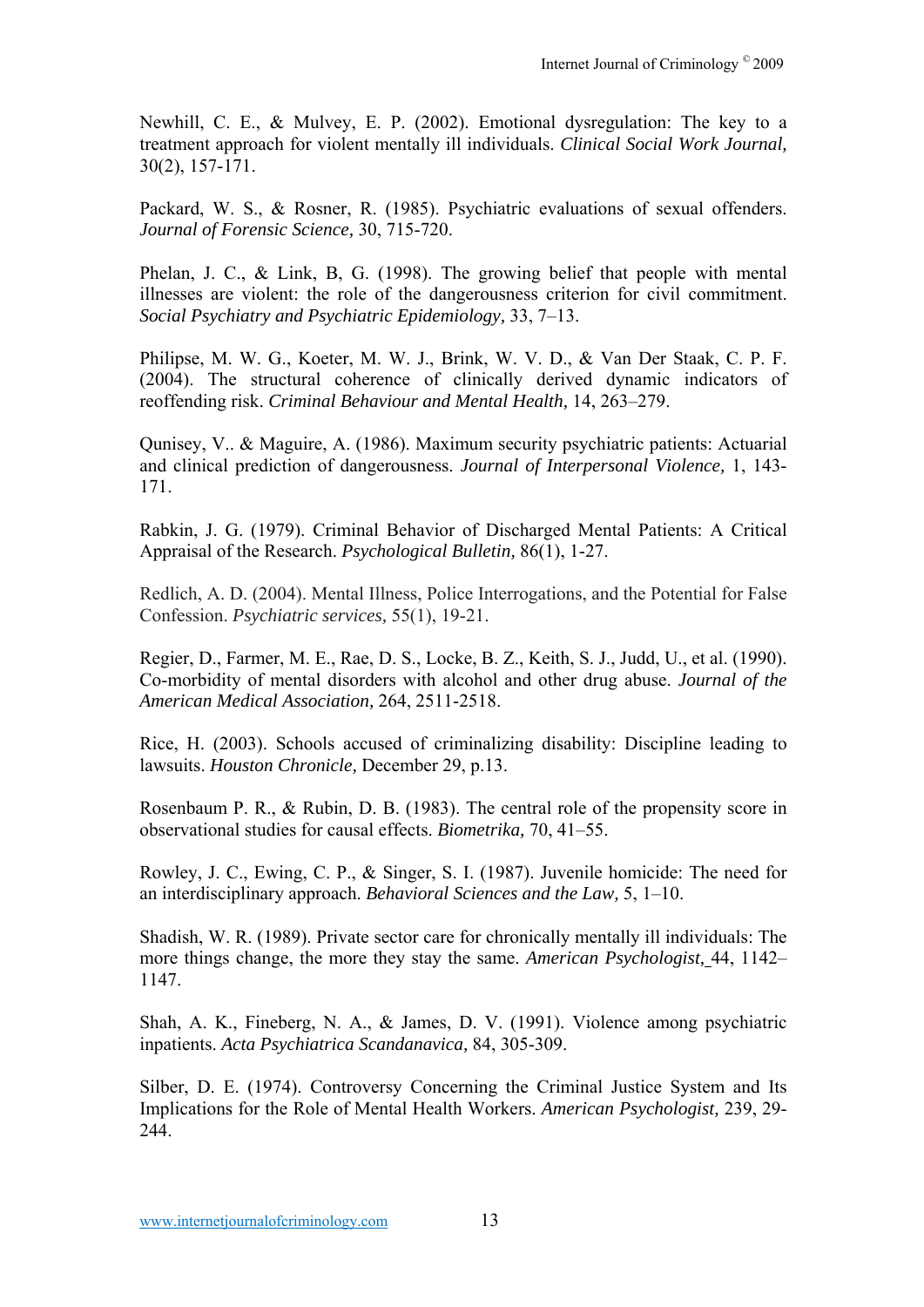Newhill, C. E., & Mulvey, E. P. (2002). Emotional dysregulation: The key to a treatment approach for violent mentally ill individuals. *Clinical Social Work Journal,* 30(2), 157-171.

Packard, W. S., & Rosner, R. (1985). Psychiatric evaluations of sexual offenders. *Journal of Forensic Science,* 30, 715-720.

Phelan, J. C., & Link, B, G. (1998). The growing belief that people with mental illnesses are violent: the role of the dangerousness criterion for civil commitment. *Social Psychiatry and Psychiatric Epidemiology,* 33, 7–13.

Philipse, M. W. G., Koeter, M. W. J., Brink, W. V. D., & Van Der Staak, C. P. F. (2004). The structural coherence of clinically derived dynamic indicators of reoffending risk. *Criminal Behaviour and Mental Health,* 14, 263–279.

Qunisey, V.. & Maguire, A. (1986). Maximum security psychiatric patients: Actuarial and clinical prediction of dangerousness. *Journal of Interpersonal Violence,* 1, 143- 171.

Rabkin, J. G. (1979). Criminal Behavior of Discharged Mental Patients: A Critical Appraisal of the Research. *Psychological Bulletin,* 86(1), 1-27.

Redlich, A. D. (2004). Mental Illness, Police Interrogations, and the Potential for False Confession. *Psychiatric services,* 55(1), 19-21.

Regier, D., Farmer, M. E., Rae, D. S., Locke, B. Z., Keith, S. J., Judd, U., et al. (1990). Co-morbidity of mental disorders with alcohol and other drug abuse. *Journal of the American Medical Association,* 264, 2511-2518.

Rice, H. (2003). Schools accused of criminalizing disability: Discipline leading to lawsuits. *Houston Chronicle,* December 29, p.13.

Rosenbaum P. R., & Rubin, D. B. (1983). The central role of the propensity score in observational studies for causal effects. *Biometrika,* 70, 41–55.

Rowley, J. C., Ewing, C. P., & Singer, S. I. (1987). Juvenile homicide: The need for an interdisciplinary approach. *Behavioral Sciences and the Law,* 5, 1–10.

Shadish, W. R. (1989). Private sector care for chronically mentally ill individuals: The more things change, the more they stay the same. *American Psychologist,* 44, 1142– 1147.

Shah, A. K., Fineberg, N. A., & James, D. V. (1991). Violence among psychiatric inpatients. *Acta Psychiatrica Scandanavica,* 84, 305-309.

Silber, D. E. (1974). Controversy Concerning the Criminal Justice System and Its Implications for the Role of Mental Health Workers. *American Psychologist,* 239, 29- 244.